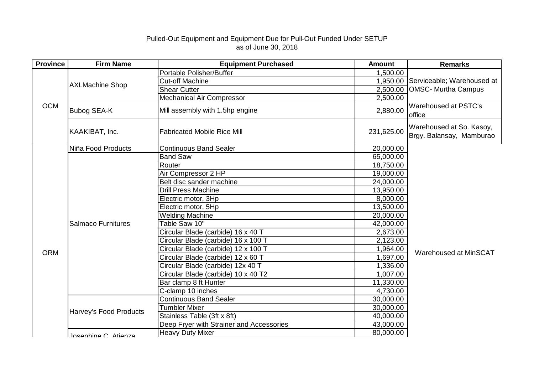## Pulled-Out Equipment and Equipment Due for Pull-Out Funded Under SETUP as of June 30, 2018

| <b>Province</b> | <b>Firm Name</b>          | <b>Equipment Purchased</b>               | <b>Amount</b> | <b>Remarks</b>                                             |
|-----------------|---------------------------|------------------------------------------|---------------|------------------------------------------------------------|
| <b>OCM</b>      | <b>AXLMachine Shop</b>    | Portable Polisher/Buffer                 | 1,500.00      | 1,950.00 Serviceable; Warehoused at<br>OMSC- Murtha Campus |
|                 |                           | <b>Cut-off Machine</b>                   |               |                                                            |
|                 |                           | <b>Shear Cutter</b>                      | 2,500.00      |                                                            |
|                 |                           | <b>Mechanical Air Compressor</b>         | 2,500.00      |                                                            |
|                 | <b>Bubog SEA-K</b>        | Mill assembly with 1.5hp engine          | 2,880.00      | Warehoused at PSTC's<br>office                             |
|                 | KAAKIBAT, Inc.            | <b>Fabricated Mobile Rice Mill</b>       | 231,625.00    | Warehoused at So. Kasoy,<br>Brgy. Balansay, Mamburao       |
|                 | Niña Food Products        | <b>Continuous Band Sealer</b>            | 20,000.00     |                                                            |
|                 |                           | <b>Band Saw</b>                          | 65,000.00     |                                                            |
|                 |                           | Router                                   | 18,750.00     |                                                            |
|                 |                           | Air Compressor 2 HP                      | 19,000.00     |                                                            |
|                 |                           | Belt disc sander machine                 | 24,000.00     | Warehoused at MinSCAT                                      |
|                 |                           | <b>Drill Press Machine</b>               | 13,950.00     |                                                            |
|                 |                           | Electric motor, 3Hp                      | 8,000.00      |                                                            |
|                 | <b>Salmaco Furnitures</b> | Electric motor, 5Hp                      | 13,500.00     |                                                            |
|                 |                           | <b>Welding Machine</b>                   | 20,000.00     |                                                            |
|                 |                           | Table Saw 10"                            | 42,000.00     |                                                            |
|                 |                           | Circular Blade (carbide) 16 x 40 T       | 2,673.00      |                                                            |
|                 |                           | Circular Blade (carbide) 16 x 100 T      | 2,123.00      |                                                            |
| <b>ORM</b>      |                           | Circular Blade (carbide) 12 x 100 T      | 1,964.00      |                                                            |
|                 |                           | Circular Blade (carbide) 12 x 60 T       | 1,697.00      |                                                            |
|                 |                           | Circular Blade (carbide) 12x 40 T        | 1,336.00      |                                                            |
|                 |                           | Circular Blade (carbide) 10 x 40 T2      | 1,007.00      |                                                            |
|                 |                           | Bar clamp 8 ft Hunter                    | 11,330.00     |                                                            |
|                 |                           | C-clamp 10 inches                        | 4,730.00      |                                                            |
|                 | Harvey's Food Products    | <b>Continuous Band Sealer</b>            | 30,000.00     |                                                            |
|                 |                           | <b>Tumbler Mixer</b>                     | 30,000.00     |                                                            |
|                 |                           | Stainless Table (3ft x 8ft)              | 40,000.00     |                                                            |
|                 |                           | Deep Fryer with Strainer and Accessories | 43,000.00     |                                                            |
|                 | Insenhine C. Atienza      | <b>Heavy Duty Mixer</b>                  | 80,000.00     |                                                            |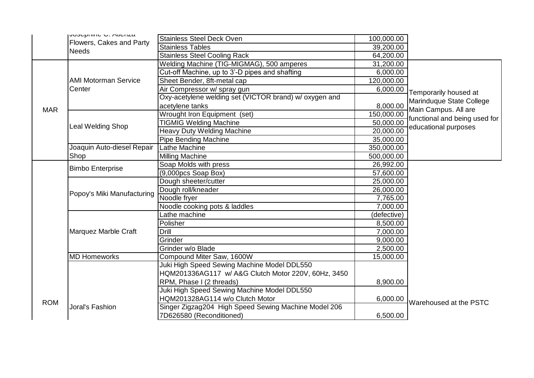|            | <b>JUJUPHING U. MIGHLA</b>            | <b>Stainless Steel Deck Oven</b>                       | 100,000.00  |                                                  |
|------------|---------------------------------------|--------------------------------------------------------|-------------|--------------------------------------------------|
|            | Flowers, Cakes and Party              | <b>Stainless Tables</b>                                | 39,200.00   |                                                  |
|            | <b>Needs</b>                          | <b>Stainless Steel Cooling Rack</b>                    | 64,200.00   |                                                  |
|            | <b>AMI Motorman Service</b><br>Center | Welding Machine (TIG-MIGMAG), 500 amperes              | 31,200.00   |                                                  |
|            |                                       | Cut-off Machine, up to 3'-D pipes and shafting         | 6,000.00    |                                                  |
|            |                                       | Sheet Bender, 8ft-metal cap                            | 120,000.00  |                                                  |
|            |                                       | Air Compressor w/ spray gun                            | 6,000.00    | Temporarily housed at                            |
|            |                                       | Oxy-acetylene welding set (VICTOR brand) w/ oxygen and |             |                                                  |
|            |                                       | acetylene tanks                                        | 8,000.00    | Marinduque State College<br>Main Campus. All are |
| <b>MAR</b> |                                       | Wrought Iron Equipment (set)                           | 150,000.00  |                                                  |
|            |                                       | <b>TIGMIG Welding Machine</b>                          | 50,000.00   | functional and being used for                    |
|            | <b>Leal Welding Shop</b>              | <b>Heavy Duty Welding Machine</b>                      | 20,000.00   | educational purposes                             |
|            |                                       | <b>Pipe Bending Machine</b>                            | 35,000.00   |                                                  |
|            | Joaquin Auto-diesel Repair            | Lathe Machine                                          | 350,000.00  |                                                  |
|            | Shop                                  | <b>Milling Machine</b>                                 | 500,000.00  |                                                  |
|            |                                       | Soap Molds with press                                  | 26,992.00   |                                                  |
|            | <b>Bimbo Enterprise</b>               | $(9,000pcs$ Soap Box)                                  | 57,600.00   |                                                  |
|            | Popoy's Miki Manufacturing            | Dough sheeter/cutter                                   | 25,000.00   |                                                  |
|            |                                       | Dough roll/kneader                                     | 26,000.00   |                                                  |
|            |                                       | Noodle fryer                                           | 7,765.00    |                                                  |
|            |                                       | Noodle cooking pots & laddles                          | 7,000.00    |                                                  |
|            | Marquez Marble Craft                  | Lathe machine                                          | (defective) |                                                  |
|            |                                       | Polisher                                               | 8,500.00    |                                                  |
|            |                                       | Drill                                                  | 7,000.00    |                                                  |
|            |                                       | Grinder                                                | 9,000.00    |                                                  |
|            |                                       | Grinder w/o Blade                                      | 2,500.00    |                                                  |
|            | <b>MD Homeworks</b>                   | Compound Miter Saw, 1600W                              | 15,000.00   |                                                  |
|            |                                       | Juki High Speed Sewing Machine Model DDL550            |             |                                                  |
|            |                                       | HQM201336AG117 w/ A&G Clutch Motor 220V, 60Hz, 3450    |             |                                                  |
|            |                                       | RPM, Phase I (2 threads)                               | 8,900.00    |                                                  |
|            |                                       | Juki High Speed Sewing Machine Model DDL550            |             |                                                  |
| <b>ROM</b> | Joral's Fashion                       | HQM201328AG114 w/o Clutch Motor                        | 6,000.00    | Warehoused at the PSTC                           |
|            |                                       | Singer Zigzag204 High Speed Sewing Machine Model 206   |             |                                                  |
|            |                                       | 7D626580 (Reconditioned)                               | 6,500.00    |                                                  |